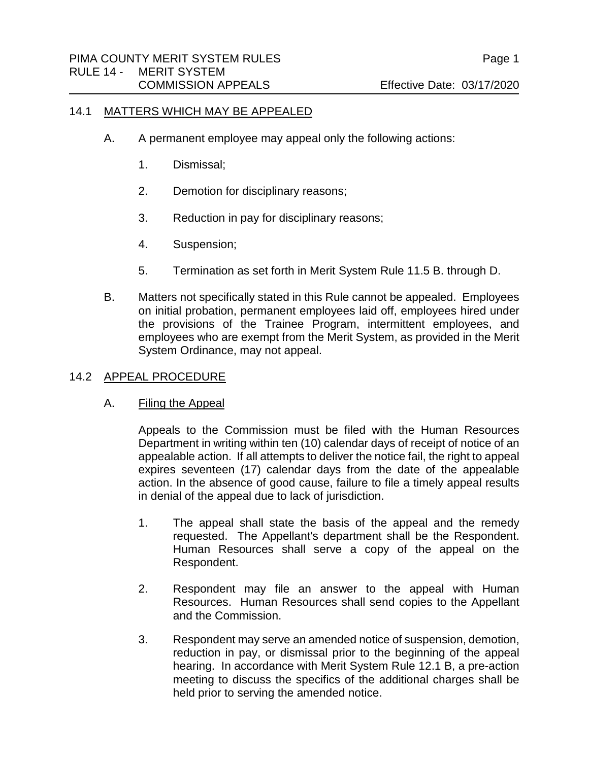#### 14.1 MATTERS WHICH MAY BE APPEALED

- A. A permanent employee may appeal only the following actions:
	- 1. Dismissal;
	- 2. Demotion for disciplinary reasons;
	- 3. Reduction in pay for disciplinary reasons;
	- 4. Suspension;
	- 5. Termination as set forth in Merit System Rule 11.5 B. through D.
- B. Matters not specifically stated in this Rule cannot be appealed. Employees on initial probation, permanent employees laid off, employees hired under the provisions of the Trainee Program, intermittent employees, and employees who are exempt from the Merit System, as provided in the Merit System Ordinance, may not appeal.

## 14.2 APPEAL PROCEDURE

# A. Filing the Appeal

Appeals to the Commission must be filed with the Human Resources Department in writing within ten (10) calendar days of receipt of notice of an appealable action. If all attempts to deliver the notice fail, the right to appeal expires seventeen (17) calendar days from the date of the appealable action. In the absence of good cause, failure to file a timely appeal results in denial of the appeal due to lack of jurisdiction.

- 1. The appeal shall state the basis of the appeal and the remedy requested. The Appellant's department shall be the Respondent. Human Resources shall serve a copy of the appeal on the Respondent.
- 2. Respondent may file an answer to the appeal with Human Resources. Human Resources shall send copies to the Appellant and the Commission.
- 3. Respondent may serve an amended notice of suspension, demotion, reduction in pay, or dismissal prior to the beginning of the appeal hearing. In accordance with Merit System Rule 12.1 B, a pre-action meeting to discuss the specifics of the additional charges shall be held prior to serving the amended notice.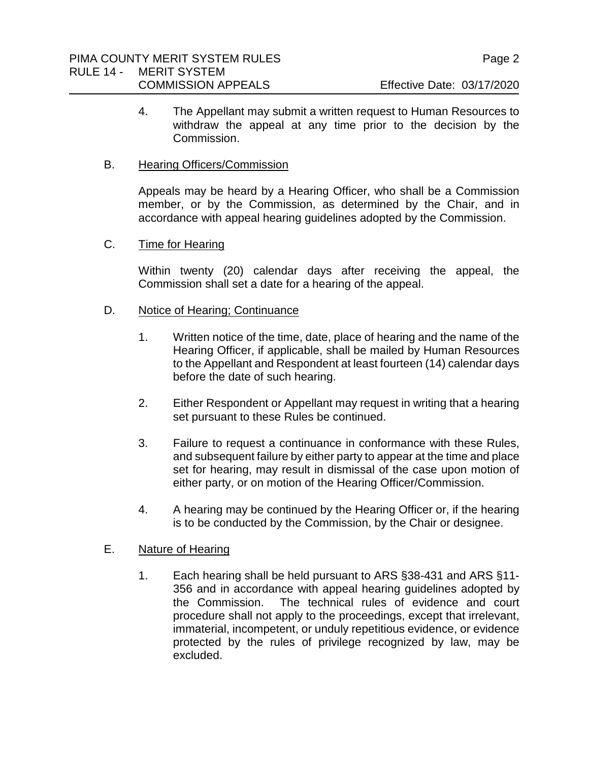4. The Appellant may submit a written request to Human Resources to withdraw the appeal at any time prior to the decision by the Commission.

## B. Hearing Officers/Commission

Appeals may be heard by a Hearing Officer, who shall be a Commission member, or by the Commission, as determined by the Chair, and in accordance with appeal hearing guidelines adopted by the Commission.

## C. Time for Hearing

Within twenty (20) calendar days after receiving the appeal, the Commission shall set a date for a hearing of the appeal.

## D. Notice of Hearing; Continuance

- 1. Written notice of the time, date, place of hearing and the name of the Hearing Officer, if applicable, shall be mailed by Human Resources to the Appellant and Respondent at least fourteen (14) calendar days before the date of such hearing.
- 2. Either Respondent or Appellant may request in writing that a hearing set pursuant to these Rules be continued.
- 3. Failure to request a continuance in conformance with these Rules, and subsequent failure by either party to appear at the time and place set for hearing, may result in dismissal of the case upon motion of either party, or on motion of the Hearing Officer/Commission.
- 4. A hearing may be continued by the Hearing Officer or, if the hearing is to be conducted by the Commission, by the Chair or designee.

# E. Nature of Hearing

1. Each hearing shall be held pursuant to ARS §38-431 and ARS §11- 356 and in accordance with appeal hearing guidelines adopted by the Commission. The technical rules of evidence and court procedure shall not apply to the proceedings, except that irrelevant, immaterial, incompetent, or unduly repetitious evidence, or evidence protected by the rules of privilege recognized by law, may be excluded.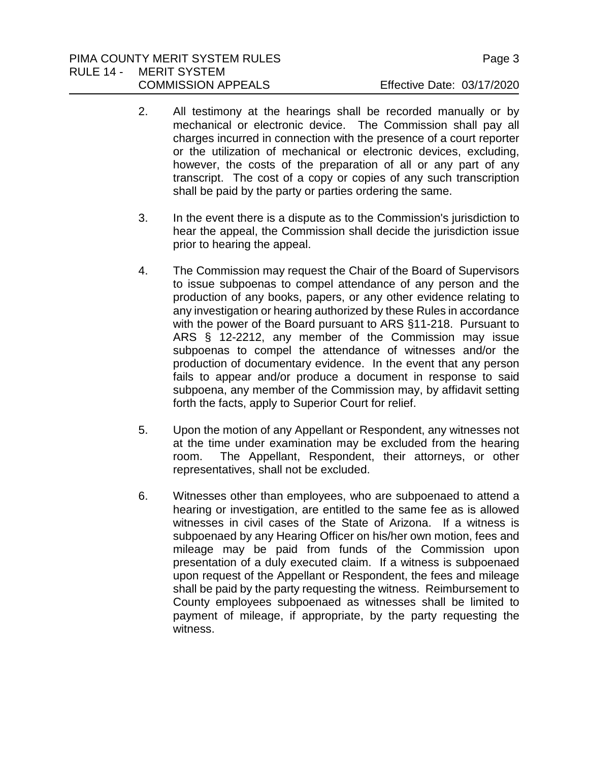# PIMA COUNTY MERIT SYSTEM RULES PIMA COUNTY MERIT SYSTEM RULES RULE 14 - MERIT SYSTEM

- 2. All testimony at the hearings shall be recorded manually or by mechanical or electronic device. The Commission shall pay all charges incurred in connection with the presence of a court reporter or the utilization of mechanical or electronic devices, excluding, however, the costs of the preparation of all or any part of any transcript. The cost of a copy or copies of any such transcription shall be paid by the party or parties ordering the same.
- 3. In the event there is a dispute as to the Commission's jurisdiction to hear the appeal, the Commission shall decide the jurisdiction issue prior to hearing the appeal.
- 4. The Commission may request the Chair of the Board of Supervisors to issue subpoenas to compel attendance of any person and the production of any books, papers, or any other evidence relating to any investigation or hearing authorized by these Rules in accordance with the power of the Board pursuant to ARS §11-218. Pursuant to ARS § 12-2212, any member of the Commission may issue subpoenas to compel the attendance of witnesses and/or the production of documentary evidence. In the event that any person fails to appear and/or produce a document in response to said subpoena, any member of the Commission may, by affidavit setting forth the facts, apply to Superior Court for relief.
- 5. Upon the motion of any Appellant or Respondent, any witnesses not at the time under examination may be excluded from the hearing room. The Appellant, Respondent, their attorneys, or other representatives, shall not be excluded.
- 6. Witnesses other than employees, who are subpoenaed to attend a hearing or investigation, are entitled to the same fee as is allowed witnesses in civil cases of the State of Arizona. If a witness is subpoenaed by any Hearing Officer on his/her own motion, fees and mileage may be paid from funds of the Commission upon presentation of a duly executed claim. If a witness is subpoenaed upon request of the Appellant or Respondent, the fees and mileage shall be paid by the party requesting the witness. Reimbursement to County employees subpoenaed as witnesses shall be limited to payment of mileage, if appropriate, by the party requesting the witness.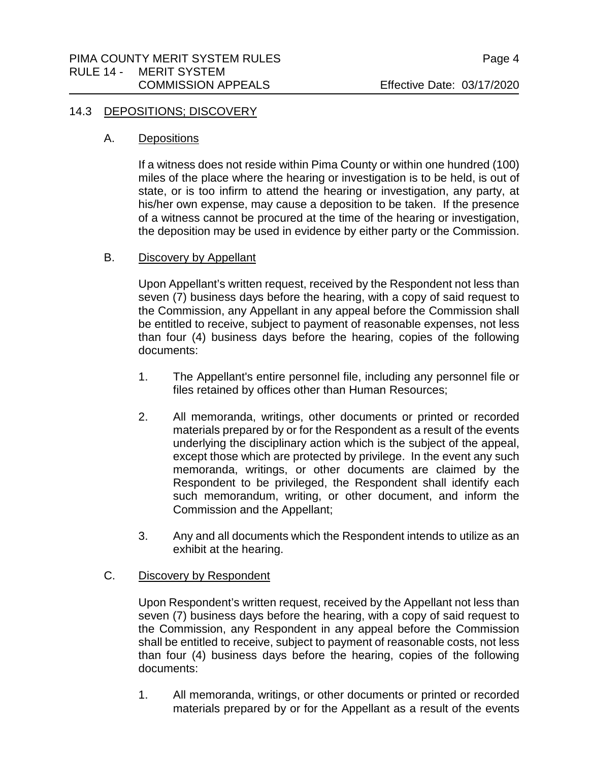#### 14.3 DEPOSITIONS; DISCOVERY

## A. Depositions

If a witness does not reside within Pima County or within one hundred (100) miles of the place where the hearing or investigation is to be held, is out of state, or is too infirm to attend the hearing or investigation, any party, at his/her own expense, may cause a deposition to be taken. If the presence of a witness cannot be procured at the time of the hearing or investigation, the deposition may be used in evidence by either party or the Commission.

# B. Discovery by Appellant

Upon Appellant's written request, received by the Respondent not less than seven (7) business days before the hearing, with a copy of said request to the Commission, any Appellant in any appeal before the Commission shall be entitled to receive, subject to payment of reasonable expenses, not less than four (4) business days before the hearing, copies of the following documents:

- 1. The Appellant's entire personnel file, including any personnel file or files retained by offices other than Human Resources;
- 2. All memoranda, writings, other documents or printed or recorded materials prepared by or for the Respondent as a result of the events underlying the disciplinary action which is the subject of the appeal, except those which are protected by privilege. In the event any such memoranda, writings, or other documents are claimed by the Respondent to be privileged, the Respondent shall identify each such memorandum, writing, or other document, and inform the Commission and the Appellant;
- 3. Any and all documents which the Respondent intends to utilize as an exhibit at the hearing.

# C. Discovery by Respondent

Upon Respondent's written request, received by the Appellant not less than seven (7) business days before the hearing, with a copy of said request to the Commission, any Respondent in any appeal before the Commission shall be entitled to receive, subject to payment of reasonable costs, not less than four (4) business days before the hearing, copies of the following documents:

1. All memoranda, writings, or other documents or printed or recorded materials prepared by or for the Appellant as a result of the events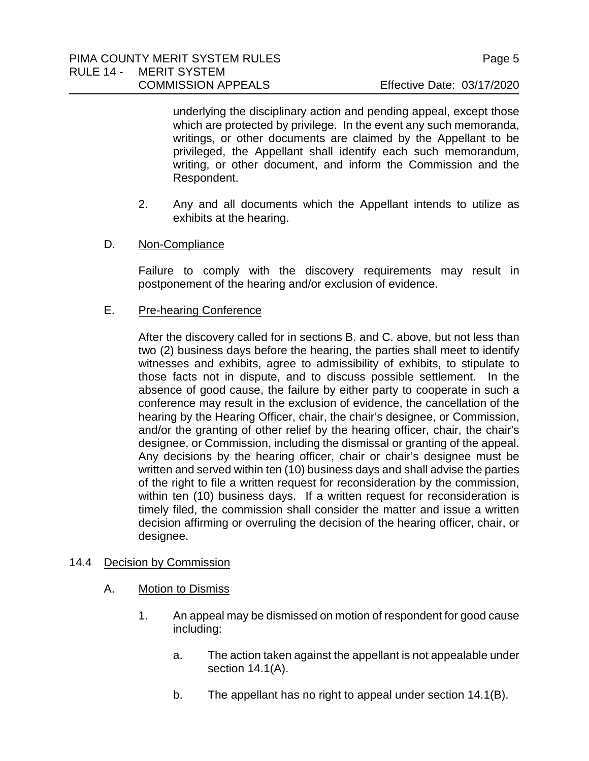underlying the disciplinary action and pending appeal, except those which are protected by privilege. In the event any such memoranda, writings, or other documents are claimed by the Appellant to be privileged, the Appellant shall identify each such memorandum, writing, or other document, and inform the Commission and the Respondent.

- 2. Any and all documents which the Appellant intends to utilize as exhibits at the hearing.
- D. Non-Compliance

Failure to comply with the discovery requirements may result in postponement of the hearing and/or exclusion of evidence.

E. Pre-hearing Conference

After the discovery called for in sections B. and C. above, but not less than two (2) business days before the hearing, the parties shall meet to identify witnesses and exhibits, agree to admissibility of exhibits, to stipulate to those facts not in dispute, and to discuss possible settlement. In the absence of good cause, the failure by either party to cooperate in such a conference may result in the exclusion of evidence, the cancellation of the hearing by the Hearing Officer, chair, the chair's designee, or Commission, and/or the granting of other relief by the hearing officer, chair, the chair's designee, or Commission, including the dismissal or granting of the appeal. Any decisions by the hearing officer, chair or chair's designee must be written and served within ten (10) business days and shall advise the parties of the right to file a written request for reconsideration by the commission, within ten (10) business days. If a written request for reconsideration is timely filed, the commission shall consider the matter and issue a written decision affirming or overruling the decision of the hearing officer, chair, or designee.

- 14.4 Decision by Commission
	- A. Motion to Dismiss
		- 1. An appeal may be dismissed on motion of respondent for good cause including:
			- a. The action taken against the appellant is not appealable under section 14.1(A).
			- b. The appellant has no right to appeal under section 14.1(B).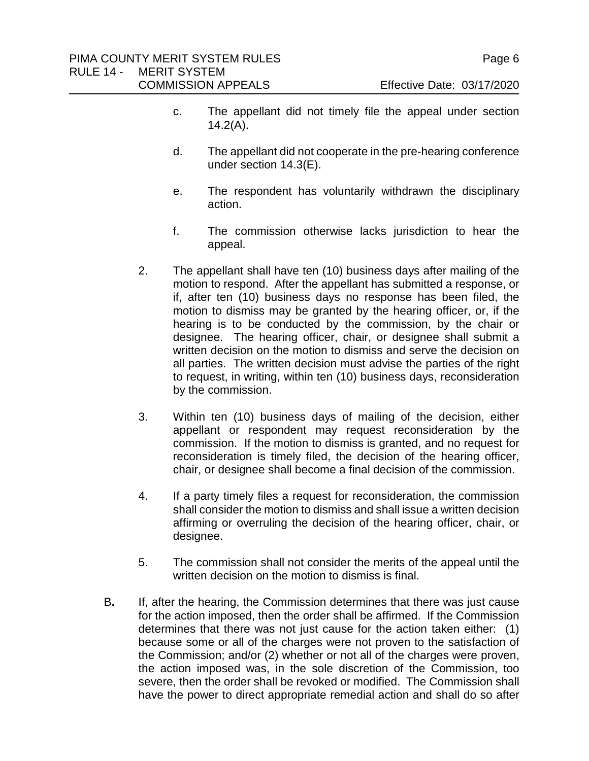- c. The appellant did not timely file the appeal under section  $14.2(A)$ .
- d. The appellant did not cooperate in the pre-hearing conference under section 14.3(E).
- e. The respondent has voluntarily withdrawn the disciplinary action.
- f. The commission otherwise lacks jurisdiction to hear the appeal.
- 2. The appellant shall have ten (10) business days after mailing of the motion to respond. After the appellant has submitted a response, or if, after ten (10) business days no response has been filed, the motion to dismiss may be granted by the hearing officer, or, if the hearing is to be conducted by the commission, by the chair or designee. The hearing officer, chair, or designee shall submit a written decision on the motion to dismiss and serve the decision on all parties. The written decision must advise the parties of the right to request, in writing, within ten (10) business days, reconsideration by the commission.
- 3. Within ten (10) business days of mailing of the decision, either appellant or respondent may request reconsideration by the commission. If the motion to dismiss is granted, and no request for reconsideration is timely filed, the decision of the hearing officer, chair, or designee shall become a final decision of the commission.
- 4. If a party timely files a request for reconsideration, the commission shall consider the motion to dismiss and shall issue a written decision affirming or overruling the decision of the hearing officer, chair, or designee.
- 5. The commission shall not consider the merits of the appeal until the written decision on the motion to dismiss is final.
- B**.** If, after the hearing, the Commission determines that there was just cause for the action imposed, then the order shall be affirmed. If the Commission determines that there was not just cause for the action taken either: (1) because some or all of the charges were not proven to the satisfaction of the Commission; and/or (2) whether or not all of the charges were proven, the action imposed was, in the sole discretion of the Commission, too severe, then the order shall be revoked or modified. The Commission shall have the power to direct appropriate remedial action and shall do so after